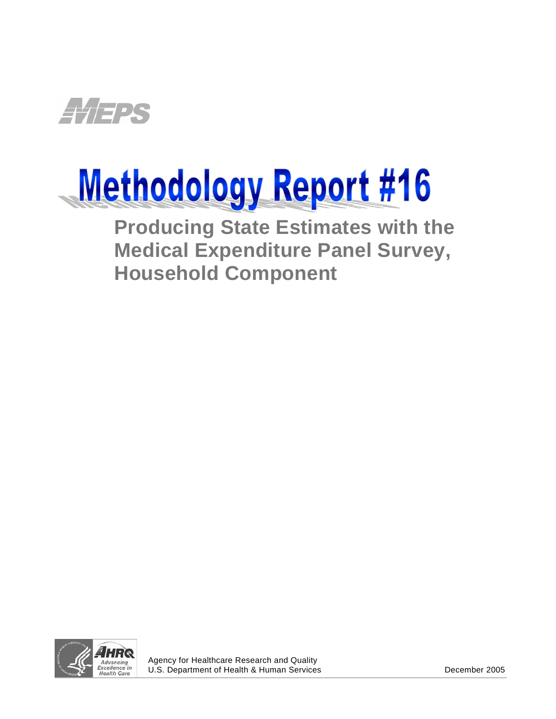

# Methodology Report #16

**Producing State Estimates with the Medical Expenditure Panel Survey, Household Component** 



j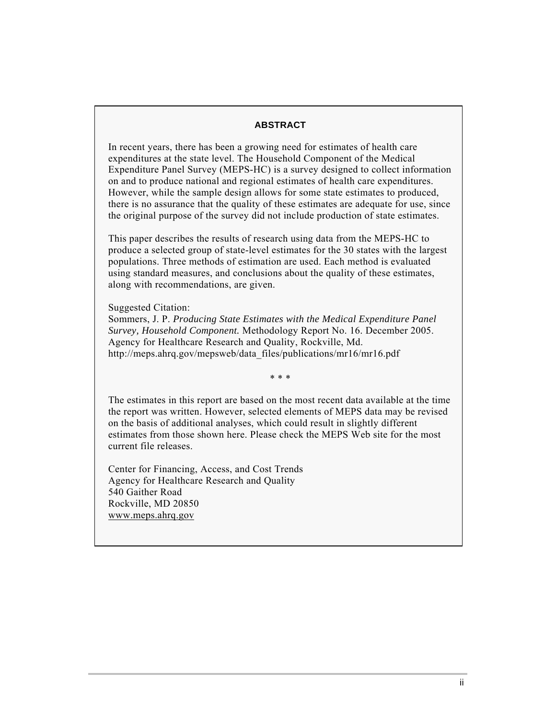#### **ABSTRACT**

In recent years, there has been a growing need for estimates of health care expenditures at the state level. The Household Component of the Medical Expenditure Panel Survey (MEPS-HC) is a survey designed to collect information on and to produce national and regional estimates of health care expenditures. However, while the sample design allows for some state estimates to produced, there is no assurance that the quality of these estimates are adequate for use, since the original purpose of the survey did not include production of state estimates.

This paper describes the results of research using data from the MEPS-HC to produce a selected group of state-level estimates for the 30 states with the largest populations. Three methods of estimation are used. Each method is evaluated using standard measures, and conclusions about the quality of these estimates, along with recommendations, are given.

Suggested Citation:

Sommers, J. P. *Producing State Estimates with the Medical Expenditure Panel Survey, Household Component.* Methodology Report No. 16. December 2005. Agency for Healthcare Research and Quality, Rockville, Md. http://meps.ahrq.gov/mepsweb/data\_files/publications/mr16/mr16.pdf

∗ ∗ ∗

The estimates in this report are based on the most recent data available at the time the report was written. However, selected elements of MEPS data may be revised on the basis of additional analyses, which could result in slightly different estimates from those shown here. Please check the MEPS Web site for the most current file releases.

Center for Financing, Access, and Cost Trends Agency for Healthcare Research and Quality 540 Gaither Road Rockville, MD 20850 <www.meps.ahrq.gov>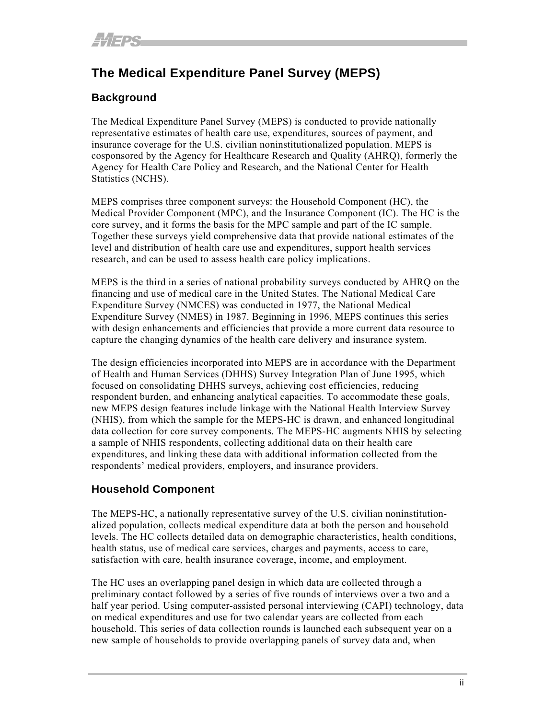## **The Medical Expenditure Panel Survey (MEPS)**

## **Background**

The Medical Expenditure Panel Survey (MEPS) is conducted to provide nationally representative estimates of health care use, expenditures, sources of payment, and insurance coverage for the U.S. civilian noninstitutionalized population. MEPS is cosponsored by the Agency for Healthcare Research and Quality (AHRQ), formerly the Agency for Health Care Policy and Research, and the National Center for Health Statistics (NCHS).

MEPS comprises three component surveys: the Household Component (HC), the Medical Provider Component (MPC), and the Insurance Component (IC). The HC is the core survey, and it forms the basis for the MPC sample and part of the IC sample. Together these surveys yield comprehensive data that provide national estimates of the level and distribution of health care use and expenditures, support health services research, and can be used to assess health care policy implications.

MEPS is the third in a series of national probability surveys conducted by AHRQ on the financing and use of medical care in the United States. The National Medical Care Expenditure Survey (NMCES) was conducted in 1977, the National Medical Expenditure Survey (NMES) in 1987. Beginning in 1996, MEPS continues this series with design enhancements and efficiencies that provide a more current data resource to capture the changing dynamics of the health care delivery and insurance system.

The design efficiencies incorporated into MEPS are in accordance with the Department of Health and Human Services (DHHS) Survey Integration Plan of June 1995, which focused on consolidating DHHS surveys, achieving cost efficiencies, reducing respondent burden, and enhancing analytical capacities. To accommodate these goals, new MEPS design features include linkage with the National Health Interview Survey (NHIS), from which the sample for the MEPS-HC is drawn, and enhanced longitudinal data collection for core survey components. The MEPS-HC augments NHIS by selecting a sample of NHIS respondents, collecting additional data on their health care expenditures, and linking these data with additional information collected from the respondents' medical providers, employers, and insurance providers.

## **Household Component**

The MEPS-HC, a nationally representative survey of the U.S. civilian noninstitutionalized population, collects medical expenditure data at both the person and household levels. The HC collects detailed data on demographic characteristics, health conditions, health status, use of medical care services, charges and payments, access to care, satisfaction with care, health insurance coverage, income, and employment.

The HC uses an overlapping panel design in which data are collected through a preliminary contact followed by a series of five rounds of interviews over a two and a half year period. Using computer-assisted personal interviewing (CAPI) technology, data on medical expenditures and use for two calendar years are collected from each household. This series of data collection rounds is launched each subsequent year on a new sample of households to provide overlapping panels of survey data and, when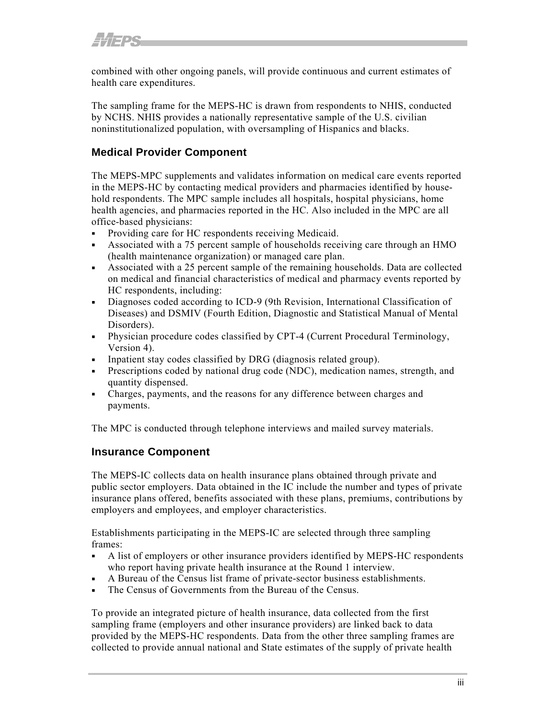combined with other ongoing panels, will provide continuous and current estimates of health care expenditures.

The sampling frame for the MEPS-HC is drawn from respondents to NHIS, conducted by NCHS. NHIS provides a nationally representative sample of the U.S. civilian noninstitutionalized population, with oversampling of Hispanics and blacks.

## **Medical Provider Component**

The MEPS-MPC supplements and validates information on medical care events reported in the MEPS-HC by contacting medical providers and pharmacies identified by household respondents. The MPC sample includes all hospitals, hospital physicians, home health agencies, and pharmacies reported in the HC. Also included in the MPC are all office-based physicians:

- Providing care for HC respondents receiving Medicaid.
- Associated with a 75 percent sample of households receiving care through an HMO (health maintenance organization) or managed care plan.
- Associated with a 25 percent sample of the remaining households. Data are collected on medical and financial characteristics of medical and pharmacy events reported by HC respondents, including:
- Diagnoses coded according to ICD-9 (9th Revision, International Classification of Diseases) and DSMIV (Fourth Edition, Diagnostic and Statistical Manual of Mental Disorders).
- Physician procedure codes classified by CPT-4 (Current Procedural Terminology, Version 4).
- Inpatient stay codes classified by DRG (diagnosis related group).
- Prescriptions coded by national drug code (NDC), medication names, strength, and quantity dispensed.
- Charges, payments, and the reasons for any difference between charges and payments.

The MPC is conducted through telephone interviews and mailed survey materials.

#### **Insurance Component**

The MEPS-IC collects data on health insurance plans obtained through private and public sector employers. Data obtained in the IC include the number and types of private insurance plans offered, benefits associated with these plans, premiums, contributions by employers and employees, and employer characteristics.

Establishments participating in the MEPS-IC are selected through three sampling frames:

- A list of employers or other insurance providers identified by MEPS-HC respondents who report having private health insurance at the Round 1 interview.
- A Bureau of the Census list frame of private-sector business establishments.
- The Census of Governments from the Bureau of the Census.

To provide an integrated picture of health insurance, data collected from the first sampling frame (employers and other insurance providers) are linked back to data provided by the MEPS-HC respondents. Data from the other three sampling frames are collected to provide annual national and State estimates of the supply of private health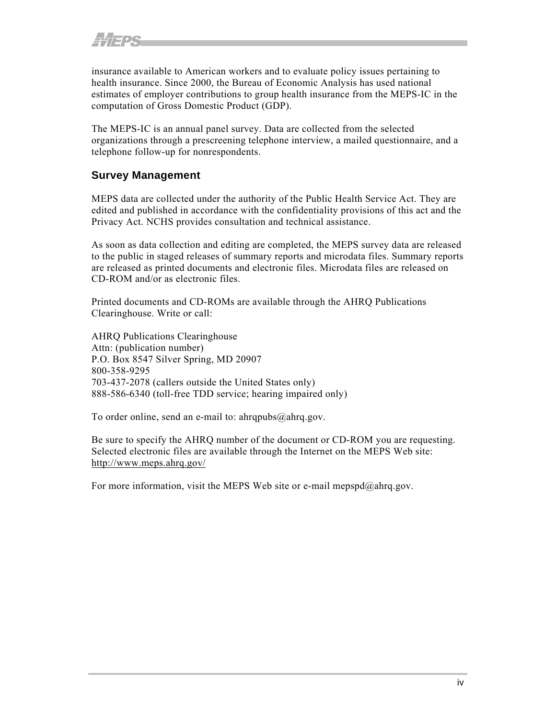insurance available to American workers and to evaluate policy issues pertaining to health insurance. Since 2000, the Bureau of Economic Analysis has used national estimates of employer contributions to group health insurance from the MEPS-IC in the computation of Gross Domestic Product (GDP).

The MEPS-IC is an annual panel survey. Data are collected from the selected organizations through a prescreening telephone interview, a mailed questionnaire, and a telephone follow-up for nonrespondents.

### **Survey Management**

MEPS data are collected under the authority of the Public Health Service Act. They are edited and published in accordance with the confidentiality provisions of this act and the Privacy Act. NCHS provides consultation and technical assistance.

As soon as data collection and editing are completed, the MEPS survey data are released to the public in staged releases of summary reports and microdata files. Summary reports are released as printed documents and electronic files. Microdata files are released on CD-ROM and/or as electronic files.

Printed documents and CD-ROMs are available through the AHRQ Publications Clearinghouse. Write or call:

AHRQ Publications Clearinghouse Attn: (publication number) P.O. Box 8547 Silver Spring, MD 20907 800-358-9295 703-437-2078 (callers outside the United States only) 888-586-6340 (toll-free TDD service; hearing impaired only)

To order online, send an e-mail to: ahrqpubs@ahrq.gov.

Be sure to specify the AHRQ number of the document or CD-ROM you are requesting. Selected electronic files are available through the Internet on the MEPS Web site: <http://www.meps.ahrq.gov/>

For more information, visit the MEPS Web site or e-mail mepspd $@a$ hrq.gov.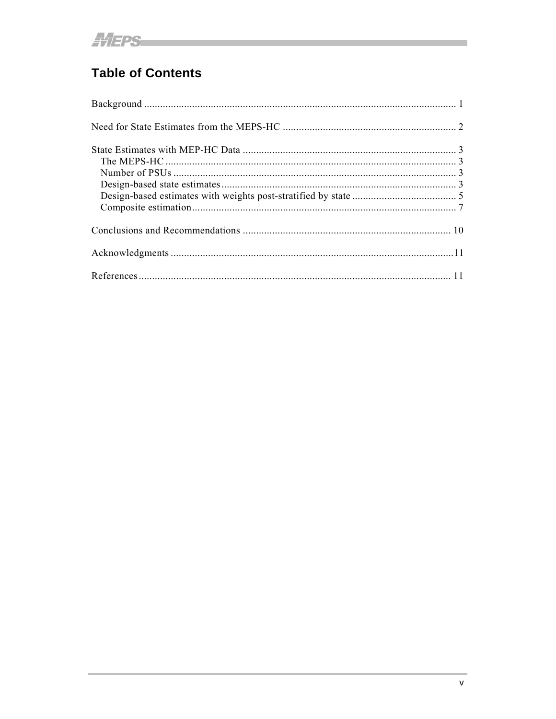# **Table of Contents**

<u> 1989 - Jan Barat, martin din santa da santa da santa da santa da santa da santa da santa da santa da santa da</u>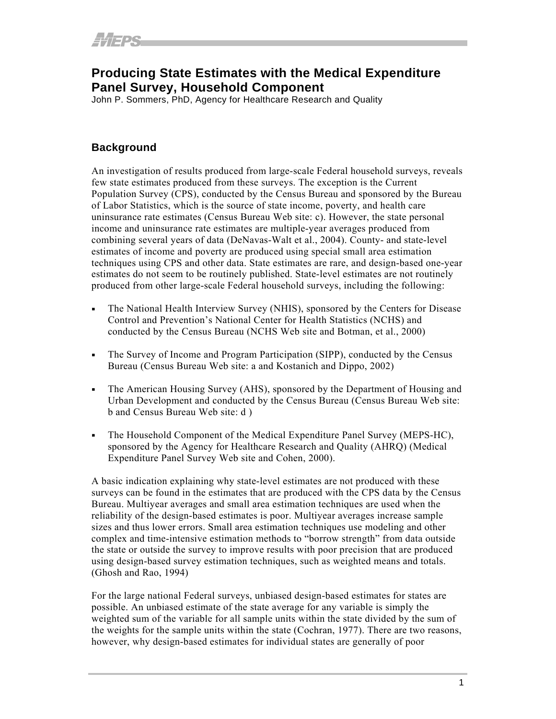## <span id="page-6-0"></span>**Producing State Estimates with the Medical Expenditure Panel Survey, Household Component**

John P. Sommers, PhD, Agency for Healthcare Research and Quality

### **Background**

An investigation of results produced from large-scale Federal household surveys, reveals few state estimates produced from these surveys. The exception is the Current Population Survey (CPS), conducted by the Census Bureau and sponsored by the Bureau of Labor Statistics, which is the source of state income, poverty, and health care uninsurance rate estimates (Census Bureau Web site: c). However, the state personal income and uninsurance rate estimates are multiple-year averages produced from combining several years of data (DeNavas-Walt et al., 2004). County- and state-level estimates of income and poverty are produced using special small area estimation techniques using CPS and other data. State estimates are rare, and design-based one-year estimates do not seem to be routinely published. State-level estimates are not routinely produced from other large-scale Federal household surveys, including the following:

- The National Health Interview Survey (NHIS), sponsored by the Centers for Disease Control and Prevention's National Center for Health Statistics (NCHS) and conducted by the Census Bureau (NCHS Web site and Botman, et al., 2000)
- The Survey of Income and Program Participation (SIPP), conducted by the Census Bureau (Census Bureau Web site: a and Kostanich and Dippo, 2002)
- The American Housing Survey (AHS), sponsored by the Department of Housing and Urban Development and conducted by the Census Bureau (Census Bureau Web site: b and Census Bureau Web site: d )
- The Household Component of the Medical Expenditure Panel Survey (MEPS-HC), sponsored by the Agency for Healthcare Research and Quality (AHRQ) (Medical Expenditure Panel Survey Web site and Cohen, 2000).

A basic indication explaining why state-level estimates are not produced with these surveys can be found in the estimates that are produced with the CPS data by the Census Bureau. Multiyear averages and small area estimation techniques are used when the reliability of the design-based estimates is poor. Multiyear averages increase sample sizes and thus lower errors. Small area estimation techniques use modeling and other complex and time-intensive estimation methods to "borrow strength" from data outside the state or outside the survey to improve results with poor precision that are produced using design-based survey estimation techniques, such as weighted means and totals. (Ghosh and Rao, 1994)

For the large national Federal surveys, unbiased design-based estimates for states are possible. An unbiased estimate of the state average for any variable is simply the weighted sum of the variable for all sample units within the state divided by the sum of the weights for the sample units within the state (Cochran, 1977). There are two reasons, however, why design-based estimates for individual states are generally of poor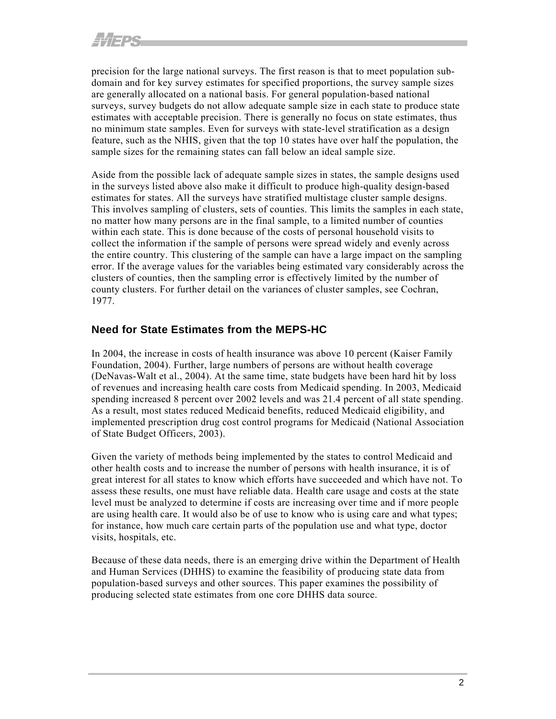<span id="page-7-0"></span>precision for the large national surveys. The first reason is that to meet population subdomain and for key survey estimates for specified proportions, the survey sample sizes are generally allocated on a national basis. For general population-based national surveys, survey budgets do not allow adequate sample size in each state to produce state estimates with acceptable precision. There is generally no focus on state estimates, thus no minimum state samples. Even for surveys with state-level stratification as a design feature, such as the NHIS, given that the top 10 states have over half the population, the sample sizes for the remaining states can fall below an ideal sample size.

Aside from the possible lack of adequate sample sizes in states, the sample designs used in the surveys listed above also make it difficult to produce high-quality design-based estimates for states. All the surveys have stratified multistage cluster sample designs. This involves sampling of clusters, sets of counties. This limits the samples in each state, no matter how many persons are in the final sample, to a limited number of counties within each state. This is done because of the costs of personal household visits to collect the information if the sample of persons were spread widely and evenly across the entire country. This clustering of the sample can have a large impact on the sampling error. If the average values for the variables being estimated vary considerably across the clusters of counties, then the sampling error is effectively limited by the number of county clusters. For further detail on the variances of cluster samples, see Cochran, 1977.

### **Need for State Estimates from the MEPS-HC**

In 2004, the increase in costs of health insurance was above 10 percent (Kaiser Family Foundation, 2004). Further, large numbers of persons are without health coverage (DeNavas-Walt et al., 2004). At the same time, state budgets have been hard hit by loss of revenues and increasing health care costs from Medicaid spending. In 2003, Medicaid spending increased 8 percent over 2002 levels and was 21.4 percent of all state spending. As a result, most states reduced Medicaid benefits, reduced Medicaid eligibility, and implemented prescription drug cost control programs for Medicaid (National Association of State Budget Officers, 2003).

Given the variety of methods being implemented by the states to control Medicaid and other health costs and to increase the number of persons with health insurance, it is of great interest for all states to know which efforts have succeeded and which have not. To assess these results, one must have reliable data. Health care usage and costs at the state level must be analyzed to determine if costs are increasing over time and if more people are using health care. It would also be of use to know who is using care and what types; for instance, how much care certain parts of the population use and what type, doctor visits, hospitals, etc.

Because of these data needs, there is an emerging drive within the Department of Health and Human Services (DHHS) to examine the feasibility of producing state data from population-based surveys and other sources. This paper examines the possibility of producing selected state estimates from one core DHHS data source.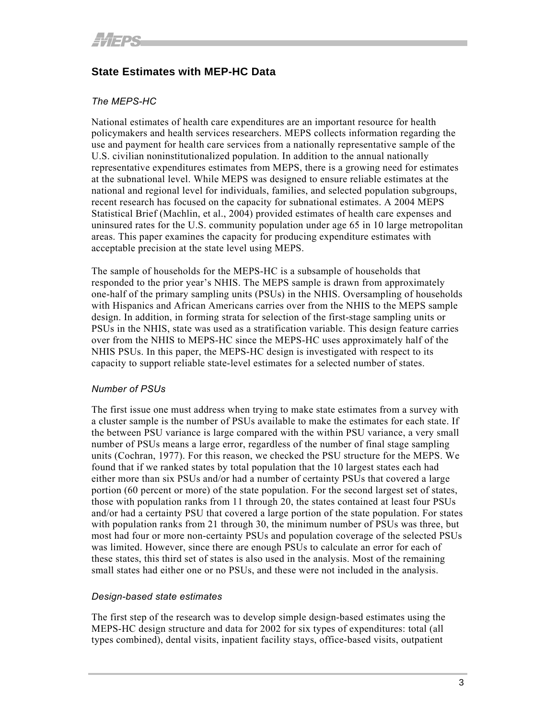## <span id="page-8-0"></span>**State Estimates with MEP-HC Data**

#### *The MEPS-HC*

National estimates of health care expenditures are an important resource for health policymakers and health services researchers. MEPS collects information regarding the use and payment for health care services from a nationally representative sample of the U.S. civilian noninstitutionalized population. In addition to the annual nationally representative expenditures estimates from MEPS, there is a growing need for estimates at the subnational level. While MEPS was designed to ensure reliable estimates at the national and regional level for individuals, families, and selected population subgroups, recent research has focused on the capacity for subnational estimates. A 2004 MEPS Statistical Brief (Machlin, et al., 2004) provided estimates of health care expenses and uninsured rates for the U.S. community population under age 65 in 10 large metropolitan areas. This paper examines the capacity for producing expenditure estimates with acceptable precision at the state level using MEPS.

The sample of households for the MEPS-HC is a subsample of households that responded to the prior year's NHIS. The MEPS sample is drawn from approximately one-half of the primary sampling units (PSUs) in the NHIS. Oversampling of households with Hispanics and African Americans carries over from the NHIS to the MEPS sample design. In addition, in forming strata for selection of the first-stage sampling units or PSUs in the NHIS, state was used as a stratification variable. This design feature carries over from the NHIS to MEPS-HC since the MEPS-HC uses approximately half of the NHIS PSUs. In this paper, the MEPS-HC design is investigated with respect to its capacity to support reliable state-level estimates for a selected number of states.

#### *Number of PSUs*

The first issue one must address when trying to make state estimates from a survey with a cluster sample is the number of PSUs available to make the estimates for each state. If the between PSU variance is large compared with the within PSU variance, a very small number of PSUs means a large error, regardless of the number of final stage sampling units (Cochran, 1977). For this reason, we checked the PSU structure for the MEPS. We found that if we ranked states by total population that the 10 largest states each had either more than six PSUs and/or had a number of certainty PSUs that covered a large portion (60 percent or more) of the state population. For the second largest set of states, those with population ranks from 11 through 20, the states contained at least four PSUs and/or had a certainty PSU that covered a large portion of the state population. For states with population ranks from 21 through 30, the minimum number of PSUs was three, but most had four or more non-certainty PSUs and population coverage of the selected PSUs was limited. However, since there are enough PSUs to calculate an error for each of these states, this third set of states is also used in the analysis. Most of the remaining small states had either one or no PSUs, and these were not included in the analysis.

#### *Design-based state estimates*

The first step of the research was to develop simple design-based estimates using the MEPS-HC design structure and data for 2002 for six types of expenditures: total (all types combined), dental visits, inpatient facility stays, office-based visits, outpatient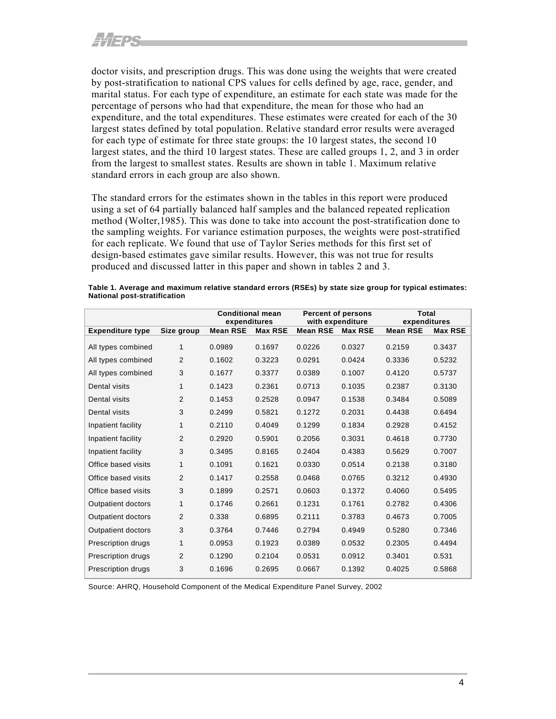doctor visits, and prescription drugs. This was done using the weights that were created by post-stratification to national CPS values for cells defined by age, race, gender, and marital status. For each type of expenditure, an estimate for each state was made for the percentage of persons who had that expenditure, the mean for those who had an expenditure, and the total expenditures. These estimates were created for each of the 30 largest states defined by total population. Relative standard error results were averaged for each type of estimate for three state groups: the 10 largest states, the second 10 largest states, and the third 10 largest states. These are called groups 1, 2, and 3 in order from the largest to smallest states. Results are shown in table 1. Maximum relative standard errors in each group are also shown.

The standard errors for the estimates shown in the tables in this report were produced using a set of 64 partially balanced half samples and the balanced repeated replication method (Wolter,1985). This was done to take into account the post-stratification done to the sampling weights. For variance estimation purposes, the weights were post-stratified for each replicate. We found that use of Taylor Series methods for this first set of design-based estimates gave similar results. However, this was not true for results produced and discussed latter in this paper and shown in tables 2 and 3.

| Table 1. Average and maximum relative standard errors (RSEs) by state size group for typical estimates: |  |
|---------------------------------------------------------------------------------------------------------|--|
| National post-stratification                                                                            |  |

|                           |            | <b>Conditional mean</b><br>expenditures |                | <b>Percent of persons</b><br>with expenditure |                | Total<br>expenditures |                |
|---------------------------|------------|-----------------------------------------|----------------|-----------------------------------------------|----------------|-----------------------|----------------|
| <b>Expenditure type</b>   | Size group | <b>Mean RSE</b>                         | <b>Max RSE</b> | <b>Mean RSE</b>                               | <b>Max RSE</b> | <b>Mean RSE</b>       | <b>Max RSE</b> |
| All types combined        | 1          | 0.0989                                  | 0.1697         | 0.0226                                        | 0.0327         | 0.2159                | 0.3437         |
| All types combined        | 2          | 0.1602                                  | 0.3223         | 0.0291                                        | 0.0424         | 0.3336                | 0.5232         |
| All types combined        | 3          | 0.1677                                  | 0.3377         | 0.0389                                        | 0.1007         | 0.4120                | 0.5737         |
| Dental visits             | 1          | 0.1423                                  | 0.2361         | 0.0713                                        | 0.1035         | 0.2387                | 0.3130         |
| Dental visits             | 2          | 0.1453                                  | 0.2528         | 0.0947                                        | 0.1538         | 0.3484                | 0.5089         |
| Dental visits             | 3          | 0.2499                                  | 0.5821         | 0.1272                                        | 0.2031         | 0.4438                | 0.6494         |
| Inpatient facility        | 1          | 0.2110                                  | 0.4049         | 0.1299                                        | 0.1834         | 0.2928                | 0.4152         |
| Inpatient facility        | 2          | 0.2920                                  | 0.5901         | 0.2056                                        | 0.3031         | 0.4618                | 0.7730         |
| Inpatient facility        | 3          | 0.3495                                  | 0.8165         | 0.2404                                        | 0.4383         | 0.5629                | 0.7007         |
| Office based visits       | 1          | 0.1091                                  | 0.1621         | 0.0330                                        | 0.0514         | 0.2138                | 0.3180         |
| Office based visits       | 2          | 0.1417                                  | 0.2558         | 0.0468                                        | 0.0765         | 0.3212                | 0.4930         |
| Office based visits       | 3          | 0.1899                                  | 0.2571         | 0.0603                                        | 0.1372         | 0.4060                | 0.5495         |
| <b>Outpatient doctors</b> | 1          | 0.1746                                  | 0.2661         | 0.1231                                        | 0.1761         | 0.2782                | 0.4306         |
| <b>Outpatient doctors</b> | 2          | 0.338                                   | 0.6895         | 0.2111                                        | 0.3783         | 0.4673                | 0.7005         |
| <b>Outpatient doctors</b> | 3          | 0.3764                                  | 0.7446         | 0.2794                                        | 0.4949         | 0.5280                | 0.7346         |
| Prescription drugs        | 1          | 0.0953                                  | 0.1923         | 0.0389                                        | 0.0532         | 0.2305                | 0.4494         |
| Prescription drugs        | 2          | 0.1290                                  | 0.2104         | 0.0531                                        | 0.0912         | 0.3401                | 0.531          |
| Prescription drugs        | 3          | 0.1696                                  | 0.2695         | 0.0667                                        | 0.1392         | 0.4025                | 0.5868         |

Source: AHRQ, Household Component of the Medical Expenditure Panel Survey, 2002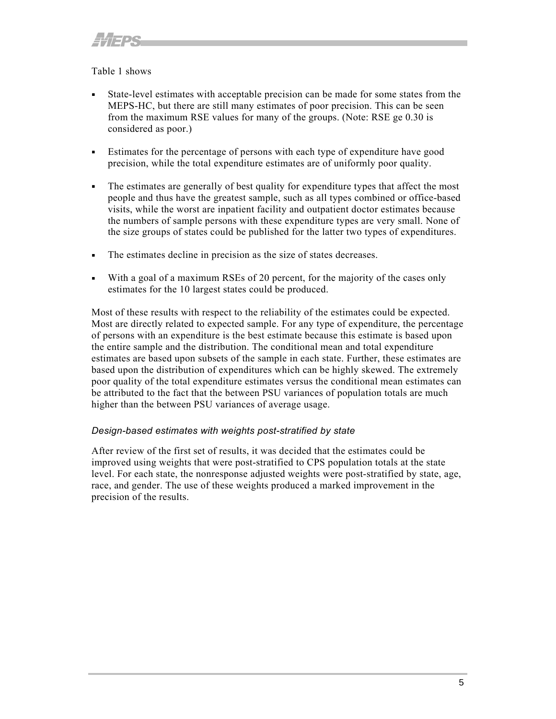#### <span id="page-10-0"></span>Table 1 shows

- State-level estimates with acceptable precision can be made for some states from the MEPS-HC, but there are still many estimates of poor precision. This can be seen from the maximum RSE values for many of the groups. (Note: RSE ge 0.30 is considered as poor.)
- Estimates for the percentage of persons with each type of expenditure have good precision, while the total expenditure estimates are of uniformly poor quality.
- The estimates are generally of best quality for expenditure types that affect the most people and thus have the greatest sample, such as all types combined or office-based visits, while the worst are inpatient facility and outpatient doctor estimates because the numbers of sample persons with these expenditure types are very small. None of the size groups of states could be published for the latter two types of expenditures.
- The estimates decline in precision as the size of states decreases.
- With a goal of a maximum RSEs of 20 percent, for the majority of the cases only estimates for the 10 largest states could be produced.

Most of these results with respect to the reliability of the estimates could be expected. Most are directly related to expected sample. For any type of expenditure, the percentage of persons with an expenditure is the best estimate because this estimate is based upon the entire sample and the distribution. The conditional mean and total expenditure estimates are based upon subsets of the sample in each state. Further, these estimates are based upon the distribution of expenditures which can be highly skewed. The extremely poor quality of the total expenditure estimates versus the conditional mean estimates can be attributed to the fact that the between PSU variances of population totals are much higher than the between PSU variances of average usage.

#### *Design-based estimates with weights post-stratified by state*

After review of the first set of results, it was decided that the estimates could be improved using weights that were post-stratified to CPS population totals at the state level. For each state, the nonresponse adjusted weights were post-stratified by state, age, race, and gender. The use of these weights produced a marked improvement in the precision of the results.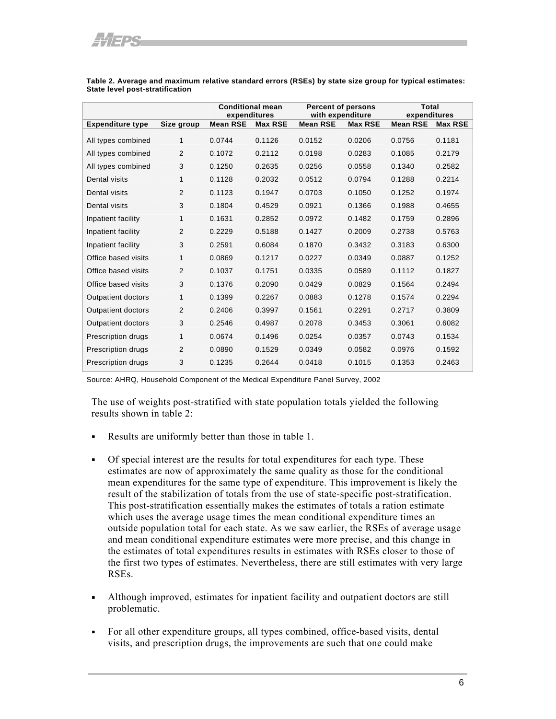|                           |                | <b>Conditional mean</b><br>expenditures |                | <b>Percent of persons</b><br>with expenditure |                | <b>Total</b><br>expenditures |                |
|---------------------------|----------------|-----------------------------------------|----------------|-----------------------------------------------|----------------|------------------------------|----------------|
| <b>Expenditure type</b>   | Size group     | <b>Mean RSE</b>                         | <b>Max RSE</b> | <b>Mean RSE</b>                               | <b>Max RSE</b> | <b>Mean RSE</b>              | <b>Max RSE</b> |
| All types combined        | 1              | 0.0744                                  | 0.1126         | 0.0152                                        | 0.0206         | 0.0756                       | 0.1181         |
| All types combined        | $\overline{2}$ | 0.1072                                  | 0.2112         | 0.0198                                        | 0.0283         | 0.1085                       | 0.2179         |
| All types combined        | 3              | 0.1250                                  | 0.2635         | 0.0256                                        | 0.0558         | 0.1340                       | 0.2582         |
| Dental visits             | 1              | 0.1128                                  | 0.2032         | 0.0512                                        | 0.0794         | 0.1288                       | 0.2214         |
| Dental visits             | 2              | 0.1123                                  | 0.1947         | 0.0703                                        | 0.1050         | 0.1252                       | 0.1974         |
| Dental visits             | 3              | 0.1804                                  | 0.4529         | 0.0921                                        | 0.1366         | 0.1988                       | 0.4655         |
| Inpatient facility        | 1              | 0.1631                                  | 0.2852         | 0.0972                                        | 0.1482         | 0.1759                       | 0.2896         |
| Inpatient facility        | $\overline{2}$ | 0.2229                                  | 0.5188         | 0.1427                                        | 0.2009         | 0.2738                       | 0.5763         |
| Inpatient facility        | 3              | 0.2591                                  | 0.6084         | 0.1870                                        | 0.3432         | 0.3183                       | 0.6300         |
| Office based visits       | 1              | 0.0869                                  | 0.1217         | 0.0227                                        | 0.0349         | 0.0887                       | 0.1252         |
| Office based visits       | 2              | 0.1037                                  | 0.1751         | 0.0335                                        | 0.0589         | 0.1112                       | 0.1827         |
| Office based visits       | 3              | 0.1376                                  | 0.2090         | 0.0429                                        | 0.0829         | 0.1564                       | 0.2494         |
| <b>Outpatient doctors</b> | 1              | 0.1399                                  | 0.2267         | 0.0883                                        | 0.1278         | 0.1574                       | 0.2294         |
| <b>Outpatient doctors</b> | 2              | 0.2406                                  | 0.3997         | 0.1561                                        | 0.2291         | 0.2717                       | 0.3809         |
| <b>Outpatient doctors</b> | 3              | 0.2546                                  | 0.4987         | 0.2078                                        | 0.3453         | 0.3061                       | 0.6082         |
| Prescription drugs        | 1              | 0.0674                                  | 0.1496         | 0.0254                                        | 0.0357         | 0.0743                       | 0.1534         |
| Prescription drugs        | $\overline{2}$ | 0.0890                                  | 0.1529         | 0.0349                                        | 0.0582         | 0.0976                       | 0.1592         |
| <b>Prescription drugs</b> | 3              | 0.1235                                  | 0.2644         | 0.0418                                        | 0.1015         | 0.1353                       | 0.2463         |

**Table 2. Average and maximum relative standard errors (RSEs) by state size group for typical estimates: State level post-stratification** 

Source: AHRQ, Household Component of the Medical Expenditure Panel Survey, 2002

The use of weights post-stratified with state population totals yielded the following results shown in table 2:

- Results are uniformly better than those in table 1.
- Of special interest are the results for total expenditures for each type. These estimates are now of approximately the same quality as those for the conditional mean expenditures for the same type of expenditure. This improvement is likely the result of the stabilization of totals from the use of state-specific post-stratification. This post-stratification essentially makes the estimates of totals a ration estimate which uses the average usage times the mean conditional expenditure times an outside population total for each state. As we saw earlier, the RSEs of average usage and mean conditional expenditure estimates were more precise, and this change in the estimates of total expenditures results in estimates with RSEs closer to those of the first two types of estimates. Nevertheless, there are still estimates with very large RSEs.
- Although improved, estimates for inpatient facility and outpatient doctors are still problematic.
- For all other expenditure groups, all types combined, office-based visits, dental visits, and prescription drugs, the improvements are such that one could make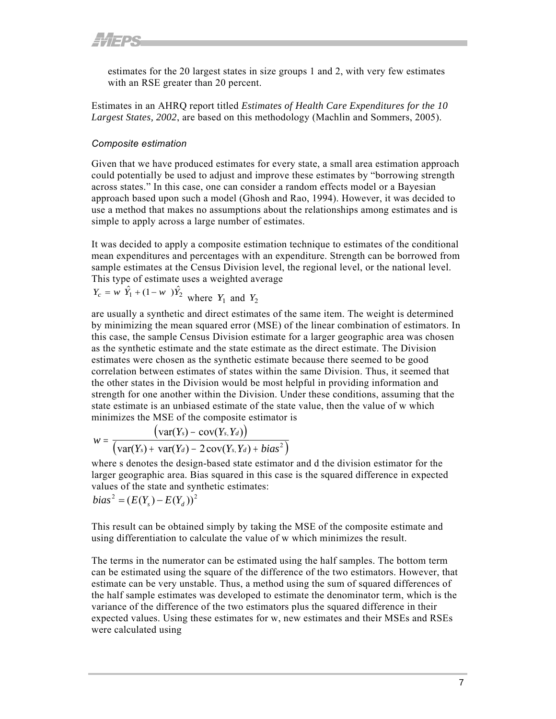<span id="page-12-0"></span>estimates for the 20 largest states in size groups 1 and 2, with very few estimates with an RSE greater than 20 percent.

Estimates in an AHRQ report titled *Estimates of Health Care Expenditures for the 10 Largest States, 2002*, are based on this methodology (Machlin and Sommers, 2005).

#### *Composite estimation*

Given that we have produced estimates for every state, a small area estimation approach could potentially be used to adjust and improve these estimates by "borrowing strength across states." In this case, one can consider a random effects model or a Bayesian approach based upon such a model (Ghosh and Rao, 1994). However, it was decided to use a method that makes no assumptions about the relationships among estimates and is simple to apply across a large number of estimates.

It was decided to apply a composite estimation technique to estimates of the conditional mean expenditures and percentages with an expenditure. Strength can be borrowed from sample estimates at the Census Division level, the regional level, or the national level. This type of estimate uses a weighted average

$$
Y_c = w \hat{Y}_1 + (1 - w) \hat{Y}_2
$$
 where  $Y_1$  and  $Y_2$ 

are usually a synthetic and direct estimates of the same item. The weight is determined by minimizing the mean squared error (MSE) of the linear combination of estimators. In this case, the sample Census Division estimate for a larger geographic area was chosen as the synthetic estimate and the state estimate as the direct estimate. The Division estimates were chosen as the synthetic estimate because there seemed to be good correlation between estimates of states within the same Division. Thus, it seemed that the other states in the Division would be most helpful in providing information and strength for one another within the Division. Under these conditions, assuming that the state estimate is an unbiased estimate of the state value, then the value of w which minimizes the MSE of the composite estimator is

$$
w = \frac{\big(\text{var}(Y_s) - \text{cov}(Y_s, Y_d)\big)}{\big(\text{var}(Y_s) + \text{var}(Y_d) - 2\text{cov}(Y_s, Y_d) + bias^2\big)}
$$

where s denotes the design-based state estimator and d the division estimator for the larger geographic area. Bias squared in this case is the squared difference in expected values of the state and synthetic estimates:

$$
bias2 = (E(Ys) - E(Yd))2
$$

This result can be obtained simply by taking the MSE of the composite estimate and using differentiation to calculate the value of w which minimizes the result.

The terms in the numerator can be estimated using the half samples. The bottom term can be estimated using the square of the difference of the two estimators. However, that estimate can be very unstable. Thus, a method using the sum of squared differences of the half sample estimates was developed to estimate the denominator term, which is the variance of the difference of the two estimators plus the squared difference in their expected values. Using these estimates for w, new estimates and their MSEs and RSEs were calculated using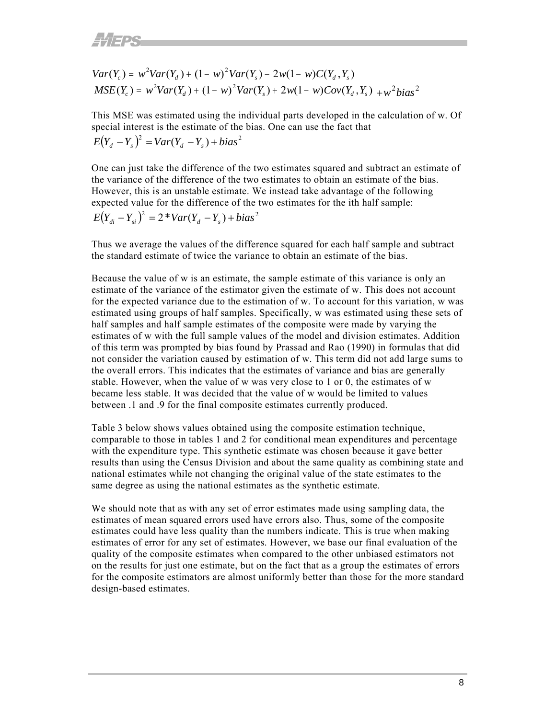$$
Var(Y_c) = w^2 Var(Y_d) + (1 - w)^2 Var(Y_s) - 2w(1 - w)C(Y_d, Y_s)
$$
  
\n
$$
MSE(Y_c) = w^2 Var(Y_d) + (1 - w)^2 Var(Y_s) + 2w(1 - w)Cov(Y_d, Y_s) + w^2 bias^2
$$

 $E(Y_a - Y_s)^2 = Var(Y_a - Y_s) + bias^2$ This MSE was estimated using the individual parts developed in the calculation of w. Of special interest is the estimate of the bias. One can use the fact that

 $E(Y_{di} - Y_{si})^2 = 2 * Var(Y_d - Y_s) + bias^2$ One can just take the difference of the two estimates squared and subtract an estimate of the variance of the difference of the two estimates to obtain an estimate of the bias. However, this is an unstable estimate. We instead take advantage of the following expected value for the difference of the two estimates for the ith half sample:

Thus we average the values of the difference squared for each half sample and subtract the standard estimate of twice the variance to obtain an estimate of the bias.

Because the value of w is an estimate, the sample estimate of this variance is only an estimate of the variance of the estimator given the estimate of w. This does not account for the expected variance due to the estimation of w. To account for this variation, w was estimated using groups of half samples. Specifically, w was estimated using these sets of half samples and half sample estimates of the composite were made by varying the estimates of w with the full sample values of the model and division estimates. Addition of this term was prompted by bias found by Prassad and Rao (1990) in formulas that did not consider the variation caused by estimation of w. This term did not add large sums to the overall errors. This indicates that the estimates of variance and bias are generally stable. However, when the value of w was very close to 1 or 0, the estimates of w became less stable. It was decided that the value of w would be limited to values between .1 and .9 for the final composite estimates currently produced.

Table 3 below shows values obtained using the composite estimation technique, comparable to those in tables 1 and 2 for conditional mean expenditures and percentage with the expenditure type. This synthetic estimate was chosen because it gave better results than using the Census Division and about the same quality as combining state and national estimates while not changing the original value of the state estimates to the same degree as using the national estimates as the synthetic estimate.

We should note that as with any set of error estimates made using sampling data, the estimates of mean squared errors used have errors also. Thus, some of the composite estimates could have less quality than the numbers indicate. This is true when making estimates of error for any set of estimates. However, we base our final evaluation of the quality of the composite estimates when compared to the other unbiased estimators not on the results for just one estimate, but on the fact that as a group the estimates of errors for the composite estimators are almost uniformly better than those for the more standard design-based estimates.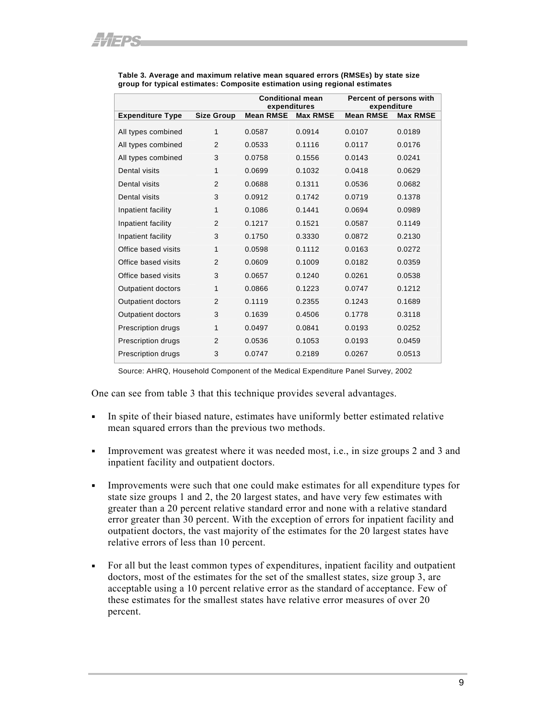|                           |                   | <b>Conditional mean</b><br>expenditures |                 | Percent of persons with<br>expenditure |                 |
|---------------------------|-------------------|-----------------------------------------|-----------------|----------------------------------------|-----------------|
| <b>Expenditure Type</b>   | <b>Size Group</b> | <b>Mean RMSE</b>                        | <b>Max RMSE</b> | <b>Mean RMSE</b>                       | <b>Max RMSE</b> |
| All types combined        | 1                 | 0.0587                                  | 0.0914          | 0.0107                                 | 0.0189          |
| All types combined        | $\overline{2}$    | 0.0533                                  | 0.1116          | 0.0117                                 | 0.0176          |
| All types combined        | 3                 | 0.0758                                  | 0.1556          | 0.0143                                 | 0.0241          |
| Dental visits             | 1                 | 0.0699                                  | 0.1032          | 0.0418                                 | 0.0629          |
| Dental visits             | $\overline{2}$    | 0.0688                                  | 0.1311          | 0.0536                                 | 0.0682          |
| Dental visits             | 3                 | 0.0912                                  | 0.1742          | 0.0719                                 | 0.1378          |
| Inpatient facility        | 1                 | 0.1086                                  | 0.1441          | 0.0694                                 | 0.0989          |
| Inpatient facility        | $\overline{2}$    | 0.1217                                  | 0.1521          | 0.0587                                 | 0.1149          |
| Inpatient facility        | 3                 | 0.1750                                  | 0.3330          | 0.0872                                 | 0.2130          |
| Office based visits       | 1                 | 0.0598                                  | 0.1112          | 0.0163                                 | 0.0272          |
| Office based visits       | 2                 | 0.0609                                  | 0.1009          | 0.0182                                 | 0.0359          |
| Office based visits       | 3                 | 0.0657                                  | 0.1240          | 0.0261                                 | 0.0538          |
| <b>Outpatient doctors</b> | 1                 | 0.0866                                  | 0.1223          | 0.0747                                 | 0.1212          |
| <b>Outpatient doctors</b> | 2                 | 0.1119                                  | 0.2355          | 0.1243                                 | 0.1689          |
| <b>Outpatient doctors</b> | 3                 | 0.1639                                  | 0.4506          | 0.1778                                 | 0.3118          |
| Prescription drugs        | 1                 | 0.0497                                  | 0.0841          | 0.0193                                 | 0.0252          |
| Prescription drugs        | $\overline{2}$    | 0.0536                                  | 0.1053          | 0.0193                                 | 0.0459          |
| <b>Prescription drugs</b> | 3                 | 0.0747                                  | 0.2189          | 0.0267                                 | 0.0513          |

**Table 3. Average and maximum relative mean squared errors (RMSEs) by state size**  group for typical estimates: Composite estimation using regional estimates

Source: AHRQ, Household Component of the Medical Expenditure Panel Survey, 2002

One can see from table 3 that this technique provides several advantages.

- In spite of their biased nature, estimates have uniformly better estimated relative mean squared errors than the previous two methods.
- Improvement was greatest where it was needed most, i.e., in size groups 2 and 3 and inpatient facility and outpatient doctors.
- Improvements were such that one could make estimates for all expenditure types for state size groups 1 and 2, the 20 largest states, and have very few estimates with greater than a 20 percent relative standard error and none with a relative standard error greater than 30 percent. With the exception of errors for inpatient facility and outpatient doctors, the vast majority of the estimates for the 20 largest states have relative errors of less than 10 percent.
- For all but the least common types of expenditures, inpatient facility and outpatient doctors, most of the estimates for the set of the smallest states, size group 3, are acceptable using a 10 percent relative error as the standard of acceptance. Few of these estimates for the smallest states have relative error measures of over 20 percent.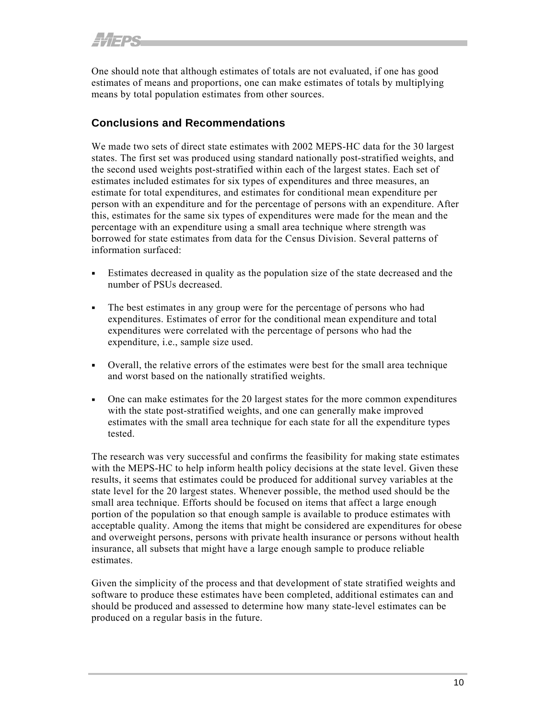<span id="page-15-0"></span>One should note that although estimates of totals are not evaluated, if one has good estimates of means and proportions, one can make estimates of totals by multiplying means by total population estimates from other sources.

### **Conclusions and Recommendations**

We made two sets of direct state estimates with 2002 MEPS-HC data for the 30 largest states. The first set was produced using standard nationally post-stratified weights, and the second used weights post-stratified within each of the largest states. Each set of estimates included estimates for six types of expenditures and three measures, an estimate for total expenditures, and estimates for conditional mean expenditure per person with an expenditure and for the percentage of persons with an expenditure. After this, estimates for the same six types of expenditures were made for the mean and the percentage with an expenditure using a small area technique where strength was borrowed for state estimates from data for the Census Division. Several patterns of information surfaced:

- Estimates decreased in quality as the population size of the state decreased and the number of PSUs decreased.
- The best estimates in any group were for the percentage of persons who had expenditures. Estimates of error for the conditional mean expenditure and total expenditures were correlated with the percentage of persons who had the expenditure, i.e., sample size used.
- Overall, the relative errors of the estimates were best for the small area technique and worst based on the nationally stratified weights.
- One can make estimates for the 20 largest states for the more common expenditures with the state post-stratified weights, and one can generally make improved estimates with the small area technique for each state for all the expenditure types tested.

The research was very successful and confirms the feasibility for making state estimates with the MEPS-HC to help inform health policy decisions at the state level. Given these results, it seems that estimates could be produced for additional survey variables at the state level for the 20 largest states. Whenever possible, the method used should be the small area technique. Efforts should be focused on items that affect a large enough portion of the population so that enough sample is available to produce estimates with acceptable quality. Among the items that might be considered are expenditures for obese and overweight persons, persons with private health insurance or persons without health insurance, all subsets that might have a large enough sample to produce reliable estimates.

Given the simplicity of the process and that development of state stratified weights and software to produce these estimates have been completed, additional estimates can and should be produced and assessed to determine how many state-level estimates can be produced on a regular basis in the future.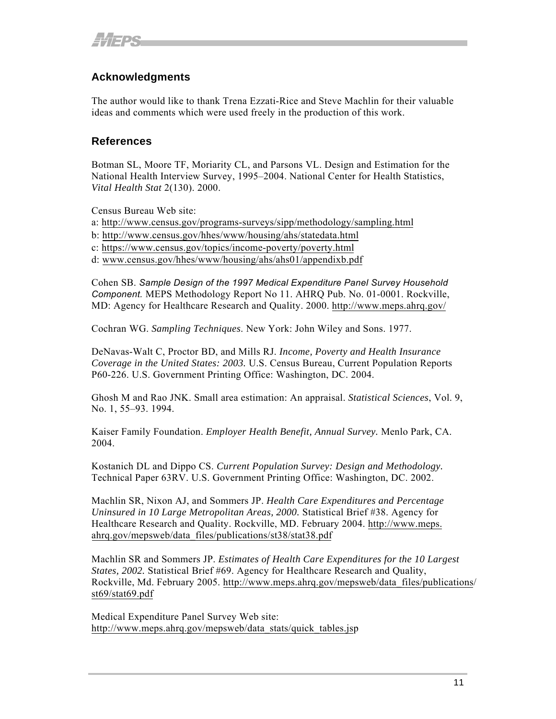## <span id="page-16-0"></span>**Acknowledgments**

The author would like to thank Trena Ezzati-Rice and Steve Machlin for their valuable ideas and comments which were used freely in the production of this work.

#### **References**

Botman SL, Moore TF, Moriarity CL, and Parsons VL. Design and Estimation for the National Health Interview Survey, 1995–2004. National Center for Health Statistics, *Vital Health Stat* 2(130). 2000.

Census Bureau Web site:

a:<http://www.census.gov/programs-surveys/sipp/methodology/sampling.html>

- b: <http://www.census.gov/hhes/www/housing/ahs/statedata.html>
- c: https://[www.census.gov/topics/income-poverty/poverty.html](https://www.census.gov/topics/income-poverty/poverty.html)

d: [www.census.gov/hhes/www/housing/ahs/ahs01/appendixb.pdf](http://www.census.gov/hhes/www/housing/ahs/ahs01/appendixb.pdf)

Cohen SB. *Sample Design of the 1997 Medical Expenditure Panel Survey Household Component.* MEPS Methodology Report No 11. AHRQ Pub. No. 01-0001. Rockville, MD: Agency for Healthcare Research and Quality. 2000. http://www.meps.ahrq.gov/

Cochran WG. *Sampling Techniques*. New York: John Wiley and Sons. 1977.

DeNavas-Walt C, Proctor BD, and Mills RJ. *Income, Poverty and Health Insurance Coverage in the United States: 2003.* U.S. Census Bureau, Current Population Reports P60-226. U.S. Government Printing Office: Washington, DC. 2004.

Ghosh M and Rao JNK. Small area estimation: An appraisal. *Statistical Sciences*, Vol. 9, No. 1, 55–93. 1994.

Kaiser Family Foundation. *Employer Health Benefit, Annual Survey.* Menlo Park, CA. 2004.

Kostanich DL and Dippo CS. *Current Population Survey: Design and Methodology.* Technical Paper 63RV. U.S. Government Printing Office: Washington, DC. 2002.

Machlin SR, Nixon AJ, and Sommers JP. *Health Care Expenditures and Percentage Uninsured in 10 Large Metropolitan Areas, 2000.* Statistical Brief #38. Agency for Healthcare Research and Quality. Rockville, MD. February 2004. [http://www.meps.](http://www.meps.ahrq.gov/mepsweb/data_files/publications/st38/stat38.pdf) [ahrq.gov/mepsweb/data\\_files/publications/st38/stat38.pdf](http://www.meps.ahrq.gov/mepsweb/data_files/publications/st38/stat38.pdf)

Machlin SR and Sommers JP. *Estimates of Health Care Expenditures for the 10 Largest States, 2002.* Statistical Brief #69. Agency for Healthcare Research and Quality, Rockville, Md. February 2005. [http://www.meps.ahrq.gov/mepsweb/data\\_files/publications/](http://www.meps.ahrq.gov/mepsweb/data_files/publications/st69/stat69.pdf) [st69/stat69.pdf](http://www.meps.ahrq.gov/mepsweb/data_files/publications/st69/stat69.pdf)

Medical Expenditure Panel Survey Web site: [http://www.meps.ahrq.gov/mepsweb/data\\_stats/quick\\_tables.jsp](http://www.meps.ahrq.gov/mepsweb/data_stats/quick_tables.jsp)